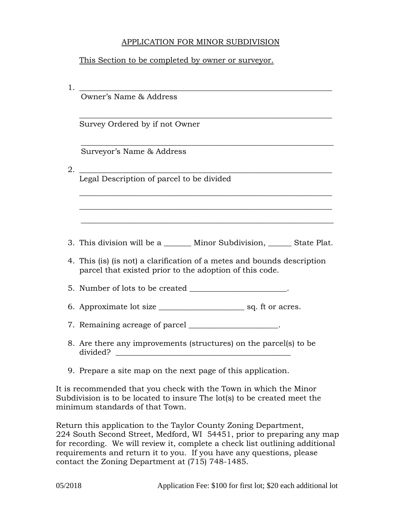## APPLICATION FOR MINOR SUBDIVISION

## This Section to be completed by owner or surveyor.

| 1. | <u> 1989 - Johann Stoff, deutscher Stoffen und der Stoffen und der Stoffen und der Stoffen und der Stoffen und de</u>              |  |  |
|----|------------------------------------------------------------------------------------------------------------------------------------|--|--|
|    | Owner's Name & Address                                                                                                             |  |  |
|    | Survey Ordered by if not Owner                                                                                                     |  |  |
|    | Surveyor's Name & Address                                                                                                          |  |  |
| 2. | Legal Description of parcel to be divided                                                                                          |  |  |
|    |                                                                                                                                    |  |  |
|    | 3. This division will be a ________ Minor Subdivision, _______ State Plat.                                                         |  |  |
|    | 4. This (is) (is not) a clarification of a metes and bounds description<br>parcel that existed prior to the adoption of this code. |  |  |
|    | 5. Number of lots to be created ____________________.                                                                              |  |  |
|    |                                                                                                                                    |  |  |
|    | 7. Remaining acreage of parcel ___________________.                                                                                |  |  |
|    | 8. Are there any improvements (structures) on the parcel(s) to be<br>divided?                                                      |  |  |
|    | 9. Prepare a site map on the next page of this application.                                                                        |  |  |
|    | It is recommended that you check with the Town in which the Minor                                                                  |  |  |

minimum standards of that Town. Return this application to the Taylor County Zoning Department, 224 South Second Street, Medford, WI 54451, prior to preparing any map for recording. We will review it, complete a check list outlining additional requirements and return it to you. If you have any questions, please contact the Zoning Department at (715) 748-1485.

Subdivision is to be located to insure The lot(s) to be created meet the